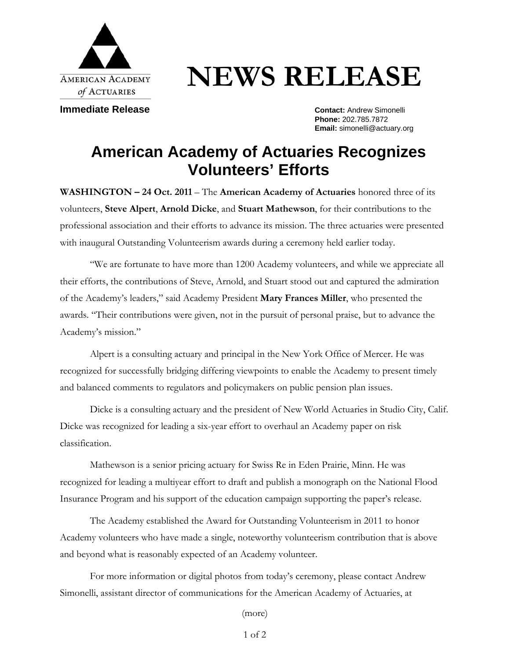

# **NEWS RELEASE**

**Immediate Release Contact: Andrew Simonelli** 

**Phone:** 202.785.7872 **Email:** simonelli@actuary.org

# **American Academy of Actuaries Recognizes Volunteers' Efforts**

**WASHINGTON – 24 Oct. 2011** – The **American Academy of Actuaries** honored three of its volunteers, **Steve Alpert**, **Arnold Dicke**, and **Stuart Mathewson**, for their contributions to the professional association and their efforts to advance its mission. The three actuaries were presented with inaugural Outstanding Volunteerism awards during a ceremony held earlier today.

 "We are fortunate to have more than 1200 Academy volunteers, and while we appreciate all their efforts, the contributions of Steve, Arnold, and Stuart stood out and captured the admiration of the Academy's leaders," said Academy President **Mary Frances Miller**, who presented the awards. "Their contributions were given, not in the pursuit of personal praise, but to advance the Academy's mission."

Alpert is a consulting actuary and principal in the New York Office of Mercer. He was recognized for successfully bridging differing viewpoints to enable the Academy to present timely and balanced comments to regulators and policymakers on public pension plan issues.

Dicke is a consulting actuary and the president of New World Actuaries in Studio City, Calif. Dicke was recognized for leading a six-year effort to overhaul an Academy paper on risk classification.

 Mathewson is a senior pricing actuary for Swiss Re in Eden Prairie, Minn. He was recognized for leading a multiyear effort to draft and publish a monograph on the National Flood Insurance Program and his support of the education campaign supporting the paper's release.

The Academy established the Award for Outstanding Volunteerism in 2011 to honor Academy volunteers who have made a single, noteworthy volunteerism contribution that is above and beyond what is reasonably expected of an Academy volunteer.

For more information or digital photos from today's ceremony, please contact Andrew Simonelli, assistant director of communications for the American Academy of Actuaries, at

(more)

1 of 2